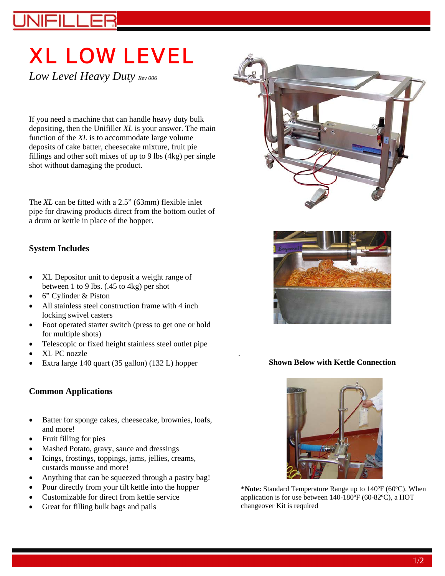# XL LOW LEVEL

*Low Level Heavy Duty Rev 006*

If you need a machine that can handle heavy duty bulk depositing, then the Unifiller *XL* is your answer. The main function of the *XL* is to accommodate large volume deposits of cake batter, cheesecake mixture, fruit pie fillings and other soft mixes of up to 9 lbs (4kg) per single shot without damaging the product.

The *XL* can be fitted with a 2.5" (63mm) flexible inlet pipe for drawing products direct from the bottom outlet of a drum or kettle in place of the hopper.

# **System Includes**

- XL Depositor unit to deposit a weight range of between 1 to 9 lbs. (.45 to 4kg) per shot
- 6" Cylinder & Piston
- All stainless steel construction frame with 4 inch locking swivel casters
- Foot operated starter switch (press to get one or hold for multiple shots)
- Telescopic or fixed height stainless steel outlet pipe
- XL PC nozzle
- Extra large 140 quart (35 gallon) (132 L) hopper

## **Common Applications**

- Batter for sponge cakes, cheesecake, brownies, loafs, and more!
- Fruit filling for pies
- Mashed Potato, gravy, sauce and dressings
- Icings, frostings, toppings, jams, jellies, creams, custards mousse and more!
- Anything that can be squeezed through a pastry bag!
- Pour directly from your tilt kettle into the hopper
- Customizable for direct from kettle service
- Great for filling bulk bags and pails





#### **Shown Below with Kettle Connection**

.



\***Note:** Standard Temperature Range up to 140ºF (60ºC). When application is for use between 140-180ºF (60-82ºC), a HOT changeover Kit is required